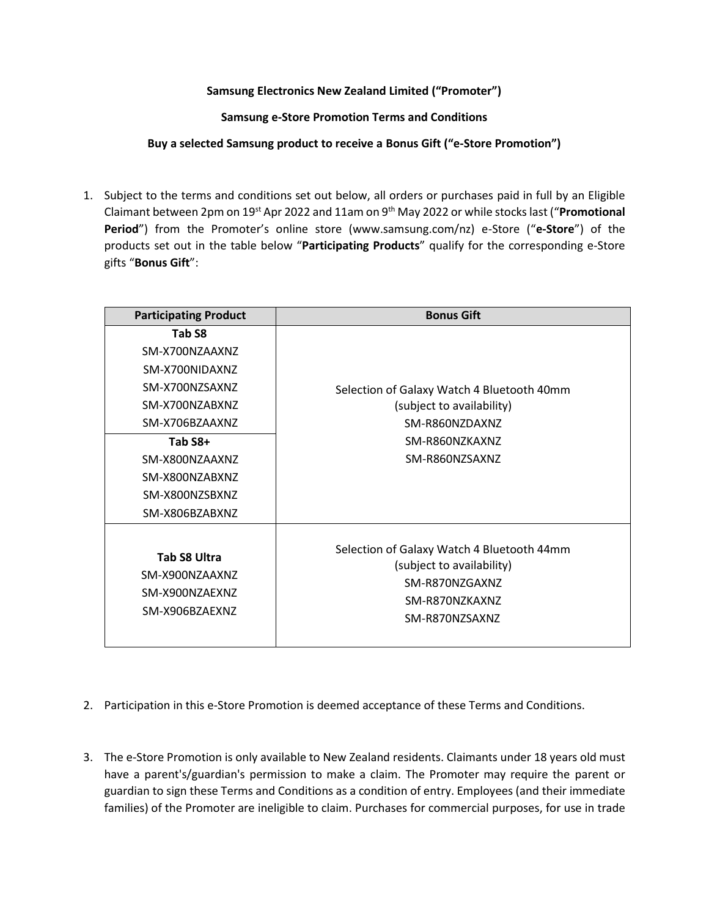## **Samsung Electronics New Zealand Limited ("Promoter")**

**Samsung e-Store Promotion Terms and Conditions**

**Buy a selected Samsung product to receive a Bonus Gift ("e-Store Promotion")**

1. Subject to the terms and conditions set out below, all orders or purchases paid in full by an Eligible Claimant between 2pm on 19st Apr 2022 and 11am on 9 th May 2022 or while stocks last ("**Promotional Period**") from the Promoter's online store (www.samsung.com/nz) e-Store ("**e-Store**") of the products set out in the table below "**Participating Products**" qualify for the corresponding e-Store gifts "**Bonus Gift**":

| <b>Participating Product</b>                                                    | <b>Bonus Gift</b>                                                                                                             |
|---------------------------------------------------------------------------------|-------------------------------------------------------------------------------------------------------------------------------|
| Tab S8                                                                          |                                                                                                                               |
| SM-X700NZAAXNZ<br>SM-X700NIDAXNZ<br>SM-X700NZSAXNZ<br>SM-X700NZABXNZ            | Selection of Galaxy Watch 4 Bluetooth 40mm<br>(subject to availability)                                                       |
| SM-X706BZAAXNZ                                                                  | SM-R860NZDAXNZ                                                                                                                |
| Tab S8+<br>SM-X800NZAAXNZ<br>SM-X800NZABXNZ<br>SM-X800NZSBXNZ<br>SM-X806BZABXNZ | SM-R860NZKAXNZ<br>SM-R860NZSAXNZ                                                                                              |
| <b>Tab S8 Ultra</b><br>SM-X900NZAAXNZ<br>SM-X900NZAEXNZ<br>SM-X906BZAEXNZ       | Selection of Galaxy Watch 4 Bluetooth 44mm<br>(subject to availability)<br>SM-R870NZGAXNZ<br>SM-R870NZKAXNZ<br>SM-R870NZSAXNZ |

- 2. Participation in this e-Store Promotion is deemed acceptance of these Terms and Conditions.
- 3. The e-Store Promotion is only available to New Zealand residents. Claimants under 18 years old must have a parent's/guardian's permission to make a claim. The Promoter may require the parent or guardian to sign these Terms and Conditions as a condition of entry. Employees (and their immediate families) of the Promoter are ineligible to claim. Purchases for commercial purposes, for use in trade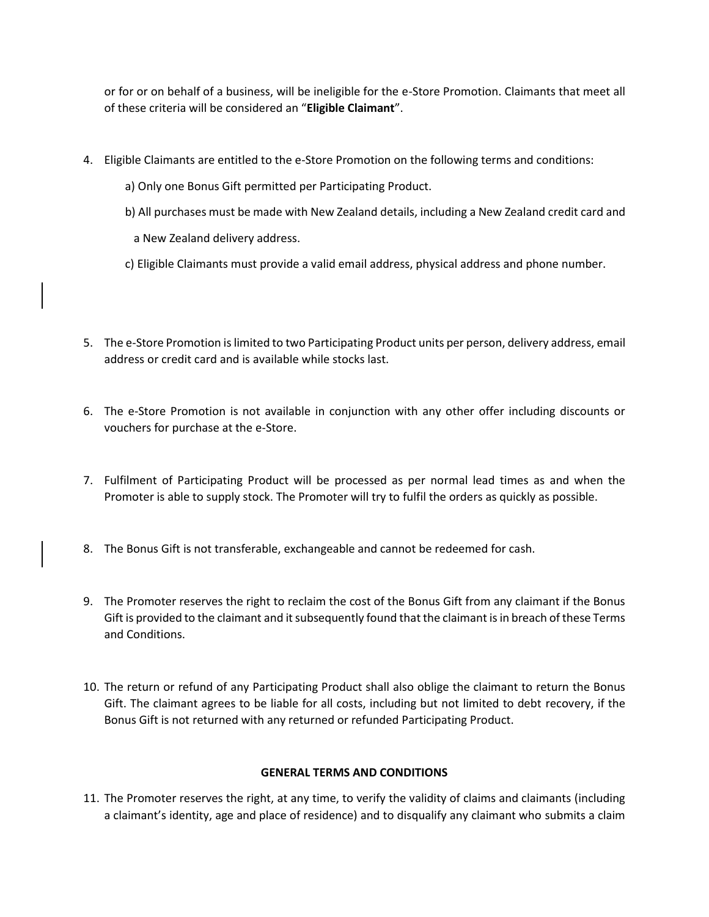or for or on behalf of a business, will be ineligible for the e-Store Promotion. Claimants that meet all of these criteria will be considered an "**Eligible Claimant**".

- 4. Eligible Claimants are entitled to the e-Store Promotion on the following terms and conditions:
	- a) Only one Bonus Gift permitted per Participating Product.
	- b) All purchases must be made with New Zealand details, including a New Zealand credit card and
		- a New Zealand delivery address.
	- c) Eligible Claimants must provide a valid email address, physical address and phone number.
- 5. The e-Store Promotion is limited to two Participating Product units per person, delivery address, email address or credit card and is available while stocks last.
- 6. The e-Store Promotion is not available in conjunction with any other offer including discounts or vouchers for purchase at the e-Store.
- 7. Fulfilment of Participating Product will be processed as per normal lead times as and when the Promoter is able to supply stock. The Promoter will try to fulfil the orders as quickly as possible.
- 8. The Bonus Gift is not transferable, exchangeable and cannot be redeemed for cash.
- 9. The Promoter reserves the right to reclaim the cost of the Bonus Gift from any claimant if the Bonus Gift is provided to the claimant and it subsequently found that the claimant is in breach of these Terms and Conditions.
- 10. The return or refund of any Participating Product shall also oblige the claimant to return the Bonus Gift. The claimant agrees to be liable for all costs, including but not limited to debt recovery, if the Bonus Gift is not returned with any returned or refunded Participating Product.

## **GENERAL TERMS AND CONDITIONS**

11. The Promoter reserves the right, at any time, to verify the validity of claims and claimants (including a claimant's identity, age and place of residence) and to disqualify any claimant who submits a claim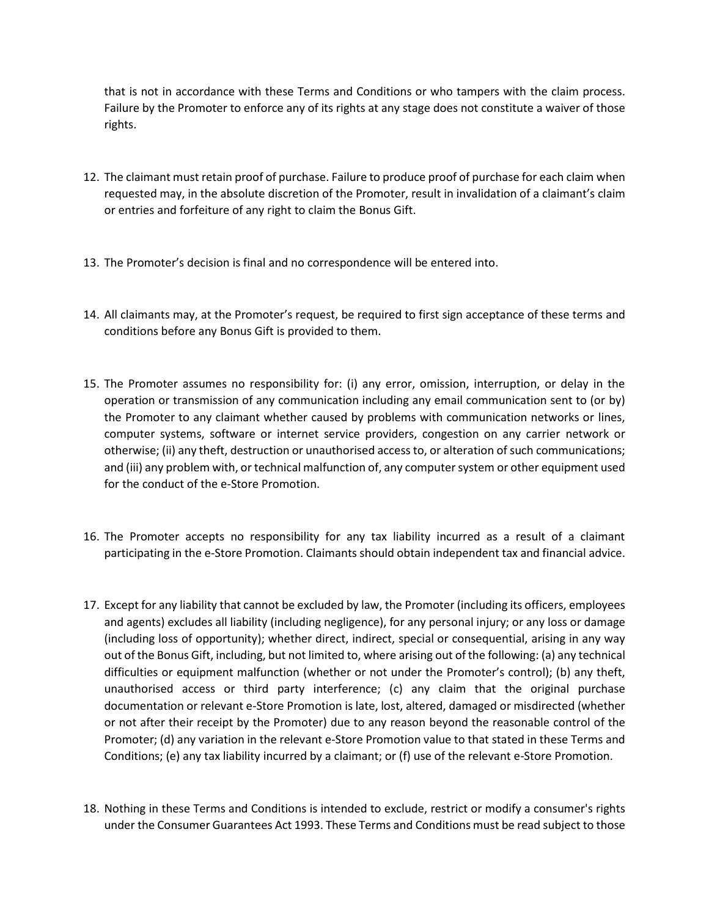that is not in accordance with these Terms and Conditions or who tampers with the claim process. Failure by the Promoter to enforce any of its rights at any stage does not constitute a waiver of those rights.

- 12. The claimant must retain proof of purchase. Failure to produce proof of purchase for each claim when requested may, in the absolute discretion of the Promoter, result in invalidation of a claimant's claim or entries and forfeiture of any right to claim the Bonus Gift.
- 13. The Promoter's decision is final and no correspondence will be entered into.
- 14. All claimants may, at the Promoter's request, be required to first sign acceptance of these terms and conditions before any Bonus Gift is provided to them.
- 15. The Promoter assumes no responsibility for: (i) any error, omission, interruption, or delay in the operation or transmission of any communication including any email communication sent to (or by) the Promoter to any claimant whether caused by problems with communication networks or lines, computer systems, software or internet service providers, congestion on any carrier network or otherwise; (ii) any theft, destruction or unauthorised access to, or alteration of such communications; and (iii) any problem with, or technical malfunction of, any computer system or other equipment used for the conduct of the e-Store Promotion.
- 16. The Promoter accepts no responsibility for any tax liability incurred as a result of a claimant participating in the e-Store Promotion. Claimants should obtain independent tax and financial advice.
- 17. Except for any liability that cannot be excluded by law, the Promoter (including its officers, employees and agents) excludes all liability (including negligence), for any personal injury; or any loss or damage (including loss of opportunity); whether direct, indirect, special or consequential, arising in any way out of the Bonus Gift, including, but not limited to, where arising out of the following: (a) any technical difficulties or equipment malfunction (whether or not under the Promoter's control); (b) any theft, unauthorised access or third party interference; (c) any claim that the original purchase documentation or relevant e-Store Promotion is late, lost, altered, damaged or misdirected (whether or not after their receipt by the Promoter) due to any reason beyond the reasonable control of the Promoter; (d) any variation in the relevant e-Store Promotion value to that stated in these Terms and Conditions; (e) any tax liability incurred by a claimant; or (f) use of the relevant e-Store Promotion.
- 18. Nothing in these Terms and Conditions is intended to exclude, restrict or modify a consumer's rights under the Consumer Guarantees Act 1993. These Terms and Conditions must be read subject to those